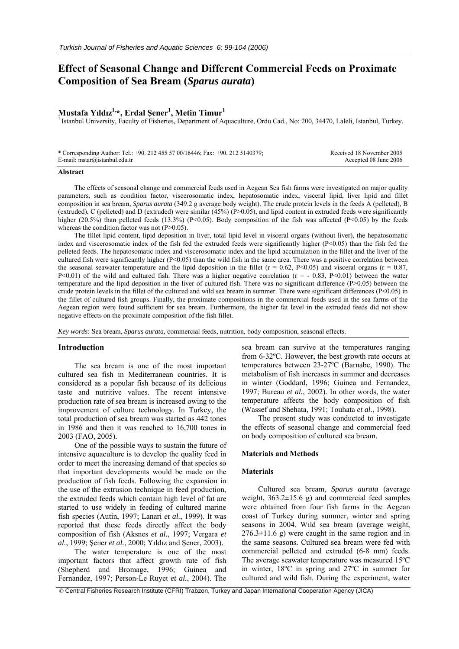# **Effect of Seasonal Change and Different Commercial Feeds on Proximate Composition of Sea Bream (***Sparus aurata***)**

## **Mustafa Yıldız 1,\*, Erdal Şener1 , Metin Timur1**

<sup>1</sup> Istanbul University, Faculty of Fisheries, Department of Aquaculture, Ordu Cad., No: 200, 34470, Laleli, Istanbul, Turkey.

\* Corresponding Author: Tel.: +90. 212 455 57 00/16446; Fax: +90. 212 5140379; E-mail: mstar@istanbul.edu.tr

 Received 18 November 2005 Accepted 08 June 2006

#### **Abstract**

The effects of seasonal change and commercial feeds used in Aegean Sea fish farms were investigated on major quality parameters, such as condition factor, viscerosomatic index, hepatosomatic index, visceral lipid, liver lipid and fillet composition in sea bream, *Sparus aurata* (349.2 g average body weight). The crude protein levels in the feeds A (pelleted), B (extruded), C (pelleted) and D (extruded) were similar  $(45%)$  (P $> 0.05$ ), and lipid content in extruded feeds were significantly higher (20.5%) than pelleted feeds (13.3%) (P<0.05). Body composition of the fish was affected (P<0.05) by the feeds whereas the condition factor was not  $(P>0.05)$ .

The fillet lipid content, lipid deposition in liver, total lipid level in visceral organs (without liver), the hepatosomatic index and viscerosomatic index of the fish fed the extruded feeds were significantly higher  $(P< 0.05)$  than the fish fed the pelleted feeds. The hepatosomatic index and viscerosomatic index and the lipid accumulation in the fillet and the liver of the cultured fish were significantly higher  $(P<0.05)$  than the wild fish in the same area. There was a positive correlation between the seasonal seawater temperature and the lipid deposition in the fillet ( $r = 0.62$ , P<0.05) and visceral organs ( $r = 0.87$ , P<0.01) of the wild and cultured fish. There was a higher negative correlation ( $r = -0.83$ , P<0.01) between the water temperature and the lipid deposition in the liver of cultured fish. There was no significant difference (P>0.05) between the crude protein levels in the fillet of the cultured and wild sea bream in summer. There were significant differences  $(P<0.05)$  in the fillet of cultured fish groups. Finally, the proximate compositions in the commercial feeds used in the sea farms of the Aegean region were found sufficient for sea bream. Furthermore, the higher fat level in the extruded feeds did not show negative effects on the proximate composition of the fish fillet.

*Key words:* Sea bream, *Sparus aurata*, commercial feeds, nutrition, body composition, seasonal effects.

#### **Introduction**

The sea bream is one of the most important cultured sea fish in Mediterranean countries. It is considered as a popular fish because of its delicious taste and nutritive values. The recent intensive production rate of sea bream is increased owing to the improvement of culture technology. In Turkey, the total production of sea bream was started as 442 tones in 1986 and then it was reached to 16,700 tones in 2003 (FAO, 2005).

One of the possible ways to sustain the future of intensive aquaculture is to develop the quality feed in order to meet the increasing demand of that species so that important developments would be made on the production of fish feeds. Following the expansion in the use of the extrusion technique in feed production, the extruded feeds which contain high level of fat are started to use widely in feeding of cultured marine fish species (Autin, 1997; Lanari *et al.*, 1999). It was reported that these feeds directly affect the body composition of fish (Aksnes *et al.*, 1997; Vergara *et al.*, 1999; Şener *et al.*, 2000; Yıldız and Şener, 2003).

The water temperature is one of the most important factors that affect growth rate of fish (Shepherd and Bromage, 1996; Guinea and Fernandez, 1997; Person-Le Ruyet *et al.*, 2004). The sea bream can survive at the temperatures ranging from 6-32ºC. However, the best growth rate occurs at temperatures between 23-27ºC (Barnabe, 1990). The metabolism of fish increases in summer and decreases in winter (Goddard, 1996; Guinea and Fernandez, 1997; Bureau *et al.*, 2002). In other words, the water temperature affects the body composition of fish (Wassef and Shehata, 1991; Touhata *et al.*, 1998).

The present study was conducted to investigate the effects of seasonal change and commercial feed on body composition of cultured sea bream.

#### **Materials and Methods**

## **Materials**

Cultured sea bream, *Sparus aurata* (average weight,  $363.2 \pm 15.6$  g) and commercial feed samples were obtained from four fish farms in the Aegean coast of Turkey during summer, winter and spring seasons in 2004. Wild sea bream (average weight,  $276.3 \pm 11.6$  g) were caught in the same region and in the same seasons. Cultured sea bream were fed with commercial pelleted and extruded (6-8 mm) feeds. The average seawater temperature was measured 15ºC in winter, 18ºC in spring and 27ºC in summer for cultured and wild fish. During the experiment, water

© Central Fisheries Research Institute (CFRI) Trabzon, Turkey and Japan International Cooperation Agency (JICA)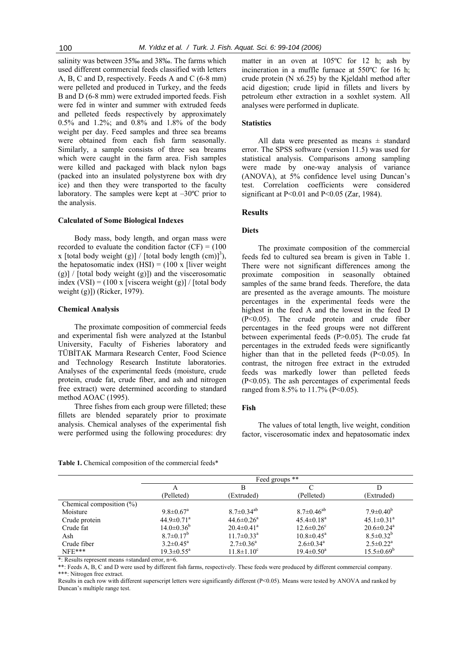salinity was between 35‰ and 38‰. The farms which used different commercial feeds classified with letters A, B, C and D, respectively. Feeds A and C (6-8 mm) were pelleted and produced in Turkey, and the feeds B and D (6-8 mm) were extruded imported feeds. Fish were fed in winter and summer with extruded feeds and pelleted feeds respectively by approximately 0.5% and 1.2%; and 0.8% and 1.8% of the body weight per day. Feed samples and three sea breams were obtained from each fish farm seasonally. Similarly, a sample consists of three sea breams which were caught in the farm area. Fish samples were killed and packaged with black nylon bags (packed into an insulated polystyrene box with dry ice) and then they were transported to the faculty laboratory. The samples were kept at  $-30^{\circ}$ C prior to the analysis.

#### **Calculated of Some Biological Indexes**

Body mass, body length, and organ mass were recorded to evaluate the condition factor  $(CF) = (100$ x [total body weight (g)] / [total body length  $(cm)$ ]<sup>3</sup>), the hepatosomatic index  $(HSI) = (100 \times$  [liver weight (g)] / [total body weight (g)]) and the viscerosomatic index  $(VSI) = (100 \times \text{iviscera weight (g)} / \text{[total body]}$ weight (g)]) (Ricker, 1979).

## **Chemical Analysis**

The proximate composition of commercial feeds and experimental fish were analyzed at the Istanbul University, Faculty of Fisheries laboratory and TÜBİTAK Marmara Research Center, Food Science and Technology Research Institute laboratories. Analyses of the experimental feeds (moisture, crude protein, crude fat, crude fiber, and ash and nitrogen free extract) were determined according to standard method AOAC (1995).

Three fishes from each group were filleted; these fillets are blended separately prior to proximate analysis. Chemical analyses of the experimental fish were performed using the following procedures: dry

matter in an oven at 105ºC for 12 h; ash by incineration in a muffle furnace at 550ºC for 16 h; crude protein (N x6.25) by the Kjeldahl method after acid digestion; crude lipid in fillets and livers by petroleum ether extraction in a soxhlet system. All analyses were performed in duplicate.

## **Statistics**

All data were presented as means  $\pm$  standard error. The SPSS software (version 11.5) was used for statistical analysis. Comparisons among sampling were made by one-way analysis of variance (ANOVA), at 5% confidence level using Duncan's test. Correlation coefficients were considered significant at P<0.01 and P<0.05 (Zar, 1984).

## **Results**

### **Diets**

The proximate composition of the commercial feeds fed to cultured sea bream is given in Table 1. There were not significant differences among the proximate composition in seasonally obtained samples of the same brand feeds. Therefore, the data are presented as the average amounts. The moisture percentages in the experimental feeds were the highest in the feed A and the lowest in the feed D (P<0.05). The crude protein and crude fiber percentages in the feed groups were not different between experimental feeds (P>0.05). The crude fat percentages in the extruded feeds were significantly higher than that in the pelleted feeds (P<0.05). In contrast, the nitrogen free extract in the extruded feeds was markedly lower than pelleted feeds (P<0.05). The ash percentages of experimental feeds ranged from 8.5% to 11.7% (P<0.05).

## **Fish**

The values of total length, live weight, condition factor, viscerosomatic index and hepatosomatic index

|  |  | <b>Table 1.</b> Chemical composition of the commercial feeds* |  |  |  |
|--|--|---------------------------------------------------------------|--|--|--|
|--|--|---------------------------------------------------------------|--|--|--|

|                             | Feed groups **               |                              |                              |                              |
|-----------------------------|------------------------------|------------------------------|------------------------------|------------------------------|
|                             | А                            | В                            |                              |                              |
|                             | (Pelleted)                   | (Extruded)                   | (Pelleted)                   | (Extruded)                   |
| Chemical composition $(\%)$ |                              |                              |                              |                              |
| Moisture                    | $9.8 \pm 0.67$ <sup>a</sup>  | $8.7 \pm 0.34^{ab}$          | $8.7 \pm 0.46^{ab}$          | $7.9 \pm 0.40^b$             |
| Crude protein               | $44.9 \pm 0.71$ <sup>a</sup> | $44.6 \pm 0.26$ <sup>a</sup> | $45.4 \pm 0.18$ <sup>a</sup> | $45.1 \pm 0.31$ <sup>a</sup> |
| Crude fat                   | $14.0 \pm 0.36^b$            | $20.4 \pm 0.41$ <sup>a</sup> | $12.6 \pm 0.26$ <sup>c</sup> | $20.6 \pm 0.24$ <sup>a</sup> |
| Ash                         | $8.7 \pm 0.17^b$             | $11.7 \pm 0.33$ <sup>a</sup> | $10.8 \pm 0.45^{\text{a}}$   | $8.5 \pm 0.32^b$             |
| Crude fiber                 | $3.2 \pm 0.45^a$             | $2.7 \pm 0.36^a$             | $2.6 \pm 0.34$ <sup>a</sup>  | $2.5 \pm 0.22^a$             |
| $NFE***$                    | $19.3 \pm 0.55^{\text{a}}$   | $11.8 \pm 1.10^c$            | $19.4 \pm 0.50^{\circ}$      | $15.5 \pm 0.69^b$            |

\*: Results represent means ±standard error, n=6.

\*\*: Feeds A, B, C and D were used by different fish farms, respectively. These feeds were produced by different commercial company. \*\*\*: Nitrogen free extract.

Results in each row with different superscript letters were significantly different (P<0.05). Means were tested by ANOVA and ranked by Duncan's multiple range test.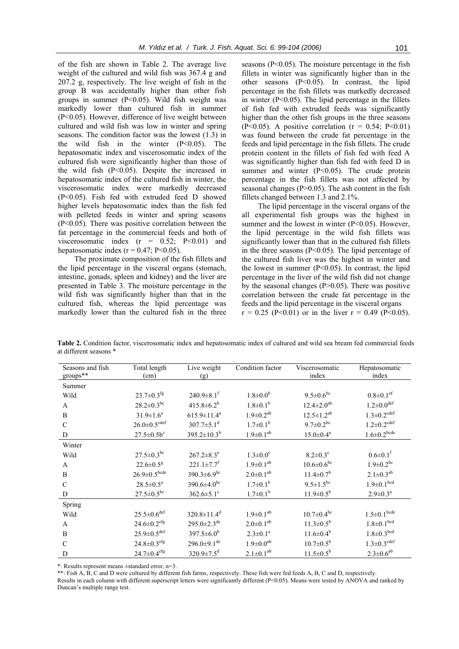of the fish are shown in Table 2. The average live weight of the cultured and wild fish was 367.4 g and 207.2 g, respectively. The live weight of fish in the group B was accidentally higher than other fish groups in summer (P<0.05). Wild fish weight was markedly lower than cultured fish in summer (P<0.05). However, difference of live weight between cultured and wild fish was low in winter and spring seasons. The condition factor was the lowest (1.3) in the wild fish in the winter  $(P<0.05)$ . The hepatosomatic index and viscerosomatic index of the cultured fish were significantly higher than those of the wild fish (P<0.05). Despite the increased in hepatosomatic index of the cultured fish in winter, the viscerosomatic index were markedly decreased (P<0.05). Fish fed with extruded feed D showed higher levels hepatosomatic index than the fish fed with pelleted feeds in winter and spring seasons (P<0.05). There was positive correlation between the fat percentage in the commercial feeds and both of viscerosomatic index  $(r = 0.52; P<0.01)$  and hepatosomatic index  $(r = 0.47; P < 0.05)$ .

The proximate composition of the fish fillets and the lipid percentage in the visceral organs (stomach, intestine, gonads, spleen and kidney) and the liver are presented in Table 3. The moisture percentage in the wild fish was significantly higher than that in the cultured fish, whereas the lipid percentage was markedly lower than the cultured fish in the three

seasons  $(P<0.05)$ . The moisture percentage in the fish fillets in winter was significantly higher than in the other seasons  $(P<0.05)$ . In contrast, the lipid percentage in the fish fillets was markedly decreased in winter  $(P<0.05)$ . The lipid percentage in the fillets of fish fed with extruded feeds was significantly higher than the other fish groups in the three seasons  $(P<0.05)$ . A positive correlation  $(r = 0.54; P<0.01)$ was found between the crude fat percentage in the feeds and lipid percentage in the fish fillets. The crude protein content in the fillets of fish fed with feed A was significantly higher than fish fed with feed D in summer and winter  $(P<0.05)$ . The crude protein percentage in the fish fillets was not affected by seasonal changes  $(P>0.05)$ . The ash content in the fish fillets changed between 1.3 and 2.1%.

The lipid percentage in the visceral organs of the all experimental fish groups was the highest in summer and the lowest in winter  $(P<0.05)$ . However, the lipid percentage in the wild fish fillets was significantly lower than that in the cultured fish fillets in the three seasons  $(P<0.05)$ . The lipid percentage of the cultured fish liver was the highest in winter and the lowest in summer  $(P<0.05)$ . In contrast, the lipid percentage in the liver of the wild fish did not change by the seasonal changes  $(P>0.05)$ . There was positive correlation between the crude fat percentage in the feeds and the lipid percentage in the visceral organs  $r = 0.25$  (P<0.01) or in the liver  $r = 0.49$  (P<0.05).

| Seasons and fish | Total length                  | Live weight                   | Condition factor            | Viscerosomatic               | Hepatosomatic                 |
|------------------|-------------------------------|-------------------------------|-----------------------------|------------------------------|-------------------------------|
| $groups**$       | (cm)                          | (g)                           |                             | index                        | index                         |
| Summer           |                               |                               |                             |                              |                               |
| Wild             | $23.7 \pm 0.3$ <sup>fg</sup>  | $240.9 \pm 8.1$ <sup>f</sup>  | $1.8 \pm 0.0^b$             | $9.5 \pm 0.6$ <sup>bc</sup>  | $0.8 \pm 0.1$ <sup>ef</sup>   |
| A                | $28.2 \pm 0.3$ <sup>bc</sup>  | $415.8 \pm 6.2^b$             | $1.8 \pm 0.1^b$             | $12.4 \pm 2.0$ <sup>ab</sup> | $1.2 \pm 0.0$ <sup>def</sup>  |
| B                | $31.9 \pm 1.6^a$              | $615.9 \pm 11.4^a$            | $1.9 \pm 0.2^{ab}$          | $12.5 \pm 1.2^{ab}$          | $1.3 \pm 0.2$ <sup>cdef</sup> |
| $\mathcal{C}$    | $26.0 \pm 0.5^{\text{cdef}}$  | $307.7 \pm 5.1$ <sup>d</sup>  | $1.7 \pm 0.1^b$             | $9.7 \pm 0.2$ bc             | $1.2 \pm 0.2$ <sup>cdef</sup> |
| D                | $27.5 \pm 0.5 b^c$            | $395.2 \pm 10.3^b$            | $1.9 \pm 0.1^{ab}$          | $15.0 \pm 0.4^a$             | $1.6 \pm 0.2$ <sup>bcde</sup> |
| Winter           |                               |                               |                             |                              |                               |
| Wild             | $27.5 \pm 0.3^{bc}$           | $267.2 \pm 8.3^e$             | $1.3 \pm 0.0^c$             | $8.2 \pm 0.3^c$              | $0.6 \pm 0.1$ <sup>f</sup>    |
| A                | $22.6 \pm 0.5^8$              | $221.1 \pm 7.7$ <sup>f</sup>  | $1.9 \pm 0.1^{ab}$          | $10.6 \pm 0.6^{\mathrm{bc}}$ | $1.9 \pm 0.2$ <sup>bc</sup>   |
| B                | $26.9 \pm 0.5^{\text{bcde}}$  | $390.3 \pm 6.9$ <sup>bc</sup> | $2.0 \pm 0.1$ <sup>ab</sup> | $11.4 \pm 0.7$ <sup>b</sup>  | $2.1 \pm 0.3^{ab}$            |
| $\mathcal{C}$    | $28.5 \pm 0.5^a$              | $390.6 \pm 4.0^{\rm bc}$      | $1.7 \pm 0.1^b$             | $9.5 \pm 1.5^{bc}$           | $1.9 \pm 0.1^{bcd}$           |
| D                | $27.5 \pm 0.5^{bc}$           | $362.6 \pm 5.1$ <sup>c</sup>  | $1.7 \pm 0.1^b$             | $11.9 \pm 0.5^b$             | $2.9 \pm 0.3^{\text{a}}$      |
| Spring           |                               |                               |                             |                              |                               |
| Wild             | $25.5 \pm 0.6$ <sup>def</sup> | $320.8 \pm 11.4$ <sup>d</sup> | $1.9 \pm 0.1^{ab}$          | $10.7 \pm 0.4$ <sup>bc</sup> | $1.5{\pm}0.1^{\text{bcde}}$   |
| $\mathbf{A}$     | $24.6 \pm 0.2$ <sup>efg</sup> | $295.0 \pm 2.3$ <sup>de</sup> | $2.0 \pm 0.1^{ab}$          | $11.3 \pm 0.5^b$             | $1.8 \pm 0.1$ <sup>bcd</sup>  |
| B                | $25.9 \pm 0.5^{\text{def}}$   | $397.5 \pm 6.0^b$             | $2.3 \pm 0.1^a$             | $11.6 \pm 0.4^b$             | $1.8 \pm 0.3^{bcd}$           |
| $\mathcal{C}$    | $24.8 \pm 0.3$ <sup>efg</sup> | $296.0 \pm 9.1$ <sup>de</sup> | $1.9 \pm 0.0^{ab}$          | $10.7 \pm 0.5^{\rm b}$       | $1.3 \pm 0.3$ <sup>cdef</sup> |
| D                | $24.7 \pm 0.4$ efg            | $320.9 \pm 7.5$ <sup>d</sup>  | $2.1 \pm 0.1^{ab}$          | $11.5 \pm 0.5^b$             | $2.3 \pm 0.6^{ab}$            |

**Table 2.** Condition factor, viscerosomatic index and hepatosomatic index of cultured and wild sea bream fed commercial feeds at different seasons \*

\*: Results represent means ±standard error, n=3.

\*\*: Fish A, B, C and D were cultured by different fish farms, respectively. These fish were fed feeds A, B, C and D, respectively. Results in each column with different superscript letters were significantly different (P<0.05). Means were tested by ANOVA and ranked by Duncan's multiple range test.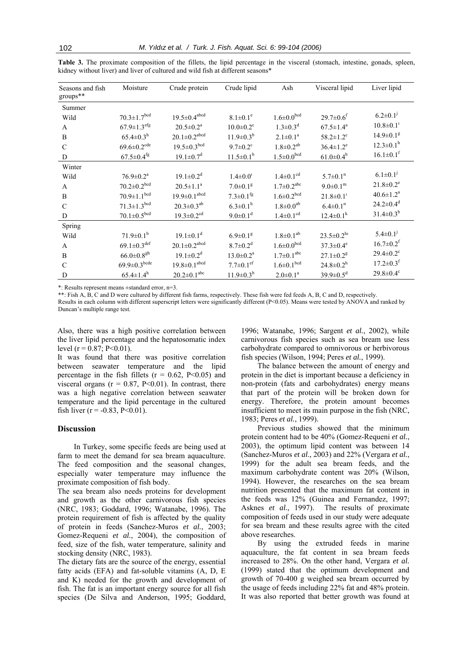| Seasons and fish<br>groups** | Moisture                      | Crude protein                  | Crude lipid                 | Ash                          | Visceral lipid              | Liver lipid                 |
|------------------------------|-------------------------------|--------------------------------|-----------------------------|------------------------------|-----------------------------|-----------------------------|
| Summer                       |                               |                                |                             |                              |                             |                             |
| Wild                         | $70.3 \pm 1.7^{bcd}$          | $19.5 \pm 0.4$ <sup>abcd</sup> | $8.1 \pm 0.1^e$             | $1.6 \pm 0.0^{bcd}$          | $29.7 \pm 0.6$ <sup>f</sup> | $6.2 \pm 0.1$ <sup>1</sup>  |
| A                            | $67.9 \pm 1.3$ <sup>efg</sup> | $20.5 \pm 0.2^a$               | $10.0 \pm 0.2$ <sup>c</sup> | $1.3 \pm 0.3$ <sup>d</sup>   | $67.5 \pm 1.4^a$            | $10.8 \pm 0.1$ <sup>1</sup> |
| B                            | $65.4 \pm 0.3$ <sup>h</sup>   | $20.1{\pm}0.2^{\text{abcd}}$   | $11.9 \pm 0.3^{b}$          | $2.1 \pm 0.1^a$              | $58.2 \pm 1.2$ <sup>c</sup> | $14.9 \pm 0.1$ <sup>g</sup> |
| $\mathcal{C}$                | $69.6 \pm 0.2$ <sup>cde</sup> | $19.5 \pm 0.3^{bcd}$           | $9.7 \pm 0.2$ <sup>c</sup>  | $1.8 \pm 0.2$ <sup>ab</sup>  | $36.4 \pm 1.2^e$            | $12.3 \pm 0.1^h$            |
| D                            | $67.5 \pm 0.4$ <sup>fg</sup>  | $19.1 \pm 0.7$ <sup>d</sup>    | $11.5 \pm 0.1^b$            | $1.5 \pm 0.0^{bcd}$          | $61.0 \pm 0.4^b$            | $16.1 \pm 0.1$ <sup>f</sup> |
| Winter                       |                               |                                |                             |                              |                             |                             |
| Wild                         | $76.9 \pm 0.2^a$              | $19.1 \pm 0.2^d$               | $1.4 \pm 0.0$ <sup>1</sup>  | $1.4 \pm 0.1$ <sup>cd</sup>  | $5.7 \pm 0.1$ <sup>n</sup>  | $6.1 \pm 0.1^{j}$           |
| A                            | $70.2 \pm 0.2^{bcd}$          | $20.5 \pm 1.1^a$               | $7.0 \pm 0.1$ <sup>g</sup>  | $1.7 \pm 0.2$ <sup>abc</sup> | $9.0 \pm 0.1^m$             | $21.8 \pm 0.2$ <sup>e</sup> |
| B                            | $70.9 \pm 1.1^{bcd}$          | $19.9 \pm 0.1^{abcd}$          | $7.3 \pm 0.1$ <sup>fg</sup> | $1.6 \pm 0.2^{bcd}$          | $21.8 \pm 0.1$ <sup>1</sup> | $40.6 \pm 1.2^a$            |
| $\mathcal{C}$                | $71.3 \pm 1.3^{bcd}$          | $20.3 \pm 0.3^{ab}$            | $6.3 \pm 0.1^h$             | $1.8 \pm 0.0^{ab}$           | $6.4 \pm 0.1$ <sup>n</sup>  | $24.2 \pm 0.4$ <sup>d</sup> |
| D                            | $70.1 \pm 0.5^{bcd}$          | $19.3 \pm 0.2$ <sup>cd</sup>   | $9.0 \pm 0.1$ <sup>d</sup>  | $1.4 \pm 0.1$ <sup>cd</sup>  | $12.4 \pm 0.1^k$            | $31.4 \pm 0.3^b$            |
| Spring                       |                               |                                |                             |                              |                             |                             |
| Wild                         | $71.9 \pm 0.1^b$              | $19.1 \pm 0.1$ <sup>d</sup>    | $6.9 \pm 0.1$ <sup>g</sup>  | $1.8 \pm 0.1^{ab}$           | $23.5 \pm 0.2^{h_1}$        | $5.4 \pm 0.1$ <sup>j</sup>  |
| A                            | $69.1 \pm 0.3$ <sup>def</sup> | $20.1{\pm}0.2^{\text{abcd}}$   | $8.7 \pm 0.2$ <sup>d</sup>  | $1.6 \pm 0.0^{bcd}$          | $37.3 \pm 0.4^e$            | $16.7 \pm 0.2$ <sup>f</sup> |
| B                            | $66.0 \pm 0.8$ <sup>gh</sup>  | $19.1 \pm 0.2^d$               | $13.0 \pm 0.2^a$            | $1.7 \pm 0.1$ <sup>abc</sup> | $27.1 \pm 0.2$ <sup>g</sup> | $29.4 \pm 0.2$ <sup>c</sup> |
| $\mathcal{C}$                | $69.9{\pm}0.3^{\text{bcde}}$  | $19.8 \pm 0.1^\text{abcd}$     | $7.7 \pm 0.1$ <sup>ef</sup> | $1.6 \pm 0.1$ <sup>bcd</sup> | $24.8 \pm 0.2^h$            | $17.2 \pm 0.3$ <sup>f</sup> |
| D                            | $65.4 \pm 1.4^h$              | $20.2 \pm 0.1^{abc}$           | $11.9 \pm 0.3^{b}$          | $2.0 \pm 0.1^a$              | $39.9 \pm 0.5^d$            | $29.8 \pm 0.4$ <sup>c</sup> |

Table 3. The proximate composition of the fillets, the lipid percentage in the visceral (stomach, intestine, gonads, spleen, kidney without liver) and liver of cultured and wild fish at different seasons\*

\*: Results represent means  $\pm$ standard error, n=3.

\*\*: Fish A, B, C and D were cultured by different fish farms, respectively. These fish were fed feeds A, B, C and D, respectively.

Results in each column with different superscript letters were significantly different (P<0.05). Means were tested by ANOVA and ranked by Duncan's multiple range test.

Also, there was a high positive correlation between the liver lipid percentage and the hepatosomatic index level  $(r = 0.87; P < 0.01)$ .

It was found that there was positive correlation between seawater temperature and the lipid percentage in the fish fillets ( $r = 0.62$ , P<0.05) and visceral organs ( $r = 0.87$ , P<0.01). In contrast, there was a high negative correlation between seawater temperature and the lipid percentage in the cultured fish liver  $(r = -0.83, P < 0.01)$ .

## **Discussion**

In Turkey, some specific feeds are being used at farm to meet the demand for sea bream aquaculture. The feed composition and the seasonal changes, especially water temperature may influence the proximate composition of fish body.

The sea bream also needs proteins for development and growth as the other carnivorous fish species (NRC, 1983; Goddard, 1996; Watanabe, 1996). The protein requirement of fish is affected by the quality of protein in feeds (Sanchez-Muros et al., 2003; Gomez-Requeni et al., 2004), the composition of feed, size of the fish, water temperature, salinity and stocking density (NRC, 1983).

The dietary fats are the source of the energy, essential fatty acids (EFA) and fat-soluble vitamins (A, D, E and K) needed for the growth and development of fish. The fat is an important energy source for all fish species (De Silva and Anderson, 1995; Goddard,

1996; Watanabe, 1996; Sargent et al., 2002), while carnivorous fish species such as sea bream use less carbohydrate compared to omnivorous or herbivorous fish species (Wilson, 1994; Peres et al., 1999).

The balance between the amount of energy and protein in the diet is important because a deficiency in non-protein (fats and carbohydrates) energy means that part of the protein will be broken down for energy. Therefore, the protein amount becomes insufficient to meet its main purpose in the fish (NRC, 1983; Peres et al., 1999).

Previous studies showed that the minimum protein content had to be 40% (Gomez-Requeni et al., 2003), the optimum lipid content was between 14 (Sanchez-Muros et al., 2003) and 22% (Vergara et al., 1999) for the adult sea bream feeds, and the maximum carbohydrate content was 20% (Wilson, 1994). However, the researches on the sea bream nutrition presented that the maximum fat content in the feeds was 12% (Guinea and Fernandez, 1997; Asknes *et al.*, 1997). The results of proximate composition of feeds used in our study were adequate for sea bream and these results agree with the cited above researches.

By using the extruded feeds in marine aquaculture, the fat content in sea bream feeds increased to 28%. On the other hand, Vergara et al. (1999) stated that the optimum development and growth of 70-400 g weighed sea bream occurred by the usage of feeds including 22% fat and 48% protein. It was also reported that better growth was found at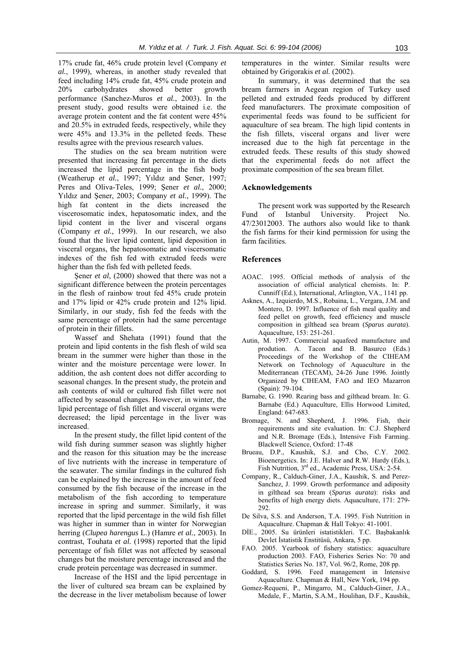17% crude fat, 46% crude protein level (Company *et al.*, 1999), whereas, in another study revealed that feed including 14% crude fat, 45% crude protein and 20% carbohydrates showed better growth performance (Sanchez-Muros *et al.*, 2003). In the present study, good results were obtained i.e. the average protein content and the fat content were 45% and 20.5% in extruded feeds, respectively, while they were 45% and 13.3% in the pelleted feeds. These results agree with the previous research values.

The studies on the sea bream nutrition were presented that increasing fat percentage in the diets increased the lipid percentage in the fish body (Weatherup *et al.*, 1997; Yıldız and Şener, 1997; Peres and Oliva-Teles, 1999; Şener *et al.*, 2000; Yıldız and Şener, 2003; Company *et al.*, 1999). The high fat content in the diets increased the viscerosomatic index, hepatosomatic index, and the lipid content in the liver and visceral organs (Company *et al.*, 1999). In our research, we also found that the liver lipid content, lipid deposition in visceral organs, the hepatosomatic and viscersomatic indexes of the fish fed with extruded feeds were higher than the fish fed with pelleted feeds.

Şener *et al*, (2000) showed that there was not a significant difference between the protein percentages in the flesh of rainbow trout fed 45% crude protein and 17% lipid or 42% crude protein and 12% lipid. Similarly, in our study, fish fed the feeds with the same percentage of protein had the same percentage of protein in their fillets.

Wassef and Shehata (1991) found that the protein and lipid contents in the fish flesh of wild sea bream in the summer were higher than those in the winter and the moisture percentage were lower. In addition, the ash content does not differ according to seasonal changes. In the present study, the protein and ash contents of wild or cultured fish fillet were not affected by seasonal changes. However, in winter, the lipid percentage of fish fillet and visceral organs were decreased; the lipid percentage in the liver was increased.

In the present study, the fillet lipid content of the wild fish during summer season was slightly higher and the reason for this situation may be the increase of live nutrients with the increase in temperature of the seawater. The similar findings in the cultured fish can be explained by the increase in the amount of feed consumed by the fish because of the increase in the metabolism of the fish according to temperature increase in spring and summer. Similarly, it was reported that the lipid percentage in the wild fish fillet was higher in summer than in winter for Norwegian herring (*Clupea harengus* L.) (Hamre *et al.*, 2003). In contrast, Touhata *et al.* (1998) reported that the lipid percentage of fish fillet was not affected by seasonal changes but the moisture percentage increased and the crude protein percentage was decreased in summer.

Increase of the HSI and the lipid percentage in the liver of cultured sea bream can be explained by the decrease in the liver metabolism because of lower

temperatures in the winter. Similar results were obtained by Grigorakis *et al.* (2002).

In summary, it was determined that the sea bream farmers in Aegean region of Turkey used pelleted and extruded feeds produced by different feed manufacturers. The proximate composition of experimental feeds was found to be sufficient for aquaculture of sea bream. The high lipid contents in the fish fillets, visceral organs and liver were increased due to the high fat percentage in the extruded feeds. These results of this study showed that the experimental feeds do not affect the proximate composition of the sea bream fillet.

## **Acknowledgements**

The present work was supported by the Research Fund of Istanbul University. Project No. 47/23012003. The authors also would like to thank the fish farms for their kind permission for using the farm facilities.

## **References**

- AOAC. 1995. Official methods of analysis of the association of official analytical chemists. In: P. Cunniff (Ed.), International, Arlington, VA., 1141 pp.
- Asknes, A., Izquierdo, M.S., Robaina, L., Vergara, J.M. and Montero, D. 1997. Influence of fish meal quality and feed pellet on growth, feed efficiency and muscle composition in gilthead sea bream (*Sparus aurata*). Aquaculture, 153: 251-261.
- Autin, M. 1997. Commercial aquafeed manufacture and prodution. A. Tacon and B. Basurco (Eds.) Proceedings of the Workshop of the CIHEAM Network on Technology of Aquaculture in the Mediterranean (TECAM), 24-26 June 1996. Jointly Organized by CIHEAM, FAO and IEO Mazarron (Spain): 79-104.
- Barnabe, G. 1990. Rearing bass and gilthead bream. In: G. Barnabe (Ed.) Aquaculture, Ellis Horwood Limited, England: 647-683.
- Bromage, N. and Shepherd, J. 1996. Fish, their requirements and site evaluation. In: C.J. Shepherd and N.R. Bromage (Eds.), Intensive Fish Farming. Blackwell Science, Oxford: 17-48
- Brueau, D.P., Kaushik, S.J. and Cho, C.Y. 2002. Bioenergetics. In: J.E. Halver and R.W. Hardy (Eds.), Fish Nutrition, 3rd ed., Academic Press, USA: 2-54.
- Company, R., Calduch-Giner, J.A., Kaushik, S. and Perez-Sanchez, J. 1999. Growth performance and adiposity in gilthead sea bream (*Sparus aurata*): risks and benefits of high energy diets. Aquaculture, 171: 279- 292.
- De Silva, S.S. and Anderson, T.A. 1995. Fish Nutrition in Aquaculture. Chapman & Hall Tokyo: 41-1001.
- DİE., 2005. Su ürünleri istatistikleri. T.C. Başbakanlık Devlet İstatistik Enstitüsü, Ankara, 5 pp.
- FAO. 2005. Yearbook of fishery statistics: aquaculture production 2003. FAO, Fisheries Series No: 70 and Statistics Series No. 187, Vol. 96/2, Rome, 208 pp.
- Goddard, S. 1996. Feed management in Intensive Aquaculture. Chapman & Hall, New York, 194 pp.
- Gomez-Requeni, P., Mingarro, M., Calduch-Giner, J.A., Medale, F., Martin, S.A.M., Houlihan, D.F., Kaushik,